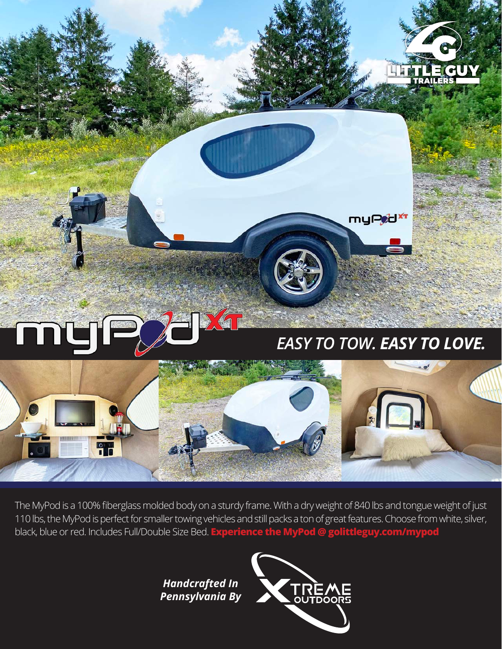

The MyPod is a 100% fiberglass molded body on a sturdy frame. With a dry weight of 840 lbs and tongue weight of just 110 lbs, the MyPod is perfect for smaller towing vehicles and still packs a ton of great features. Choose from white, silver, black, blue or red. Includes Full/Double Size Bed. **Experience the MyPod @ golittleguy.com/mypod**

> *Handcrafted In Pennsylvania By*